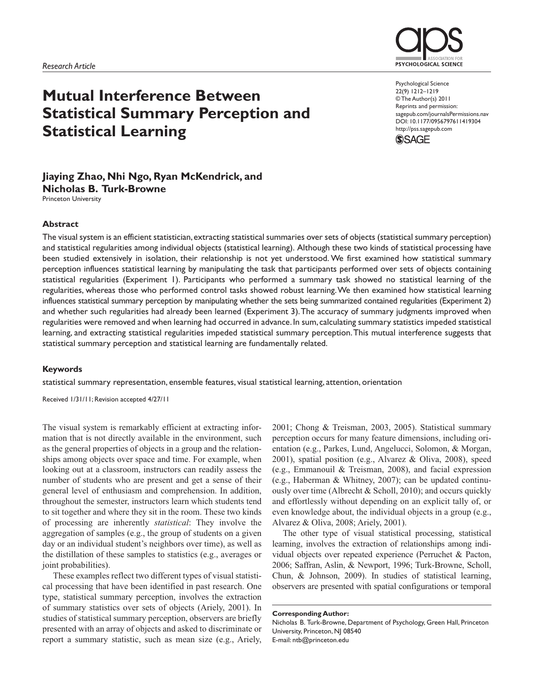

# **Mutual Interference Between Statistical Summary Perception and Statistical Learning**

Psychological Science 22(9) 1212–1219 © The Author(s) 2011 Reprints and permission: sagepub.com/journalsPermissions.nav DOI: 10.1177/0956797611419304 http://pss.sagepub.com



#### **Jiaying Zhao, Nhi Ngo, Ryan McKendrick, and Nicholas B. Turk-Browne** Princeton University

**Abstract**

The visual system is an efficient statistician, extracting statistical summaries over sets of objects (statistical summary perception) and statistical regularities among individual objects (statistical learning). Although these two kinds of statistical processing have been studied extensively in isolation, their relationship is not yet understood. We first examined how statistical summary perception influences statistical learning by manipulating the task that participants performed over sets of objects containing statistical regularities (Experiment 1). Participants who performed a summary task showed no statistical learning of the regularities, whereas those who performed control tasks showed robust learning. We then examined how statistical learning influences statistical summary perception by manipulating whether the sets being summarized contained regularities (Experiment 2) and whether such regularities had already been learned (Experiment 3). The accuracy of summary judgments improved when regularities were removed and when learning had occurred in advance. In sum, calculating summary statistics impeded statistical learning, and extracting statistical regularities impeded statistical summary perception. This mutual interference suggests that statistical summary perception and statistical learning are fundamentally related.

#### **Keywords**

statistical summary representation, ensemble features, visual statistical learning, attention, orientation

Received 1/31/11; Revision accepted 4/27/11

The visual system is remarkably efficient at extracting information that is not directly available in the environment, such as the general properties of objects in a group and the relationships among objects over space and time. For example, when looking out at a classroom, instructors can readily assess the number of students who are present and get a sense of their general level of enthusiasm and comprehension. In addition, throughout the semester, instructors learn which students tend to sit together and where they sit in the room. These two kinds of processing are inherently *statistical*: They involve the aggregation of samples (e.g., the group of students on a given day or an individual student's neighbors over time), as well as the distillation of these samples to statistics (e.g., averages or joint probabilities).

These examples reflect two different types of visual statistical processing that have been identified in past research. One type, statistical summary perception, involves the extraction of summary statistics over sets of objects (Ariely, 2001). In studies of statistical summary perception, observers are briefly presented with an array of objects and asked to discriminate or report a summary statistic, such as mean size (e.g., Ariely,

2001; Chong & Treisman, 2003, 2005). Statistical summary perception occurs for many feature dimensions, including orientation (e.g., Parkes, Lund, Angelucci, Solomon, & Morgan, 2001), spatial position (e.g., Alvarez & Oliva, 2008), speed (e.g., Emmanouil & Treisman, 2008), and facial expression (e.g., Haberman & Whitney, 2007); can be updated continuously over time (Albrecht & Scholl, 2010); and occurs quickly and effortlessly without depending on an explicit tally of, or even knowledge about, the individual objects in a group (e.g., Alvarez & Oliva, 2008; Ariely, 2001).

The other type of visual statistical processing, statistical learning, involves the extraction of relationships among individual objects over repeated experience (Perruchet & Pacton, 2006; Saffran, Aslin, & Newport, 1996; Turk-Browne, Scholl, Chun, & Johnson, 2009). In studies of statistical learning, observers are presented with spatial configurations or temporal

Nicholas B. Turk-Browne, Department of Psychology, Green Hall, Princeton University, Princeton, NJ 08540 E-mail: ntb@princeton.edu

**Corresponding Author:**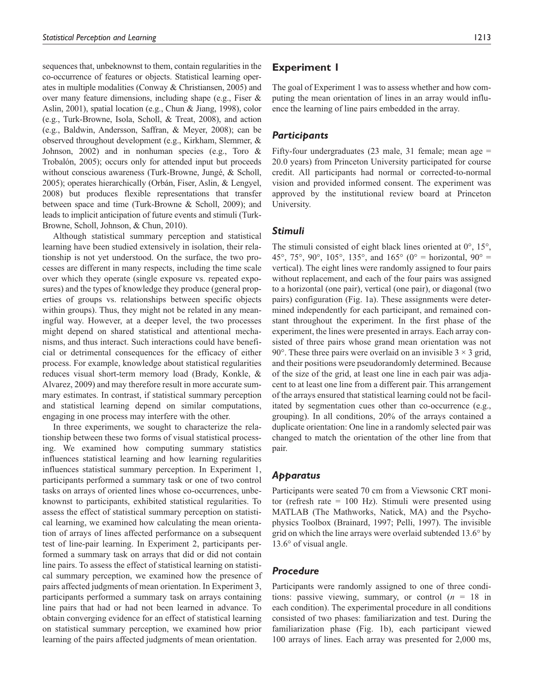sequences that, unbeknownst to them, contain regularities in the co-occurrence of features or objects. Statistical learning operates in multiple modalities (Conway & Christiansen, 2005) and over many feature dimensions, including shape (e.g., Fiser & Aslin, 2001), spatial location (e.g., Chun & Jiang, 1998), color (e.g., Turk-Browne, Isola, Scholl, & Treat, 2008), and action (e.g., Baldwin, Andersson, Saffran, & Meyer, 2008); can be observed throughout development (e.g., Kirkham, Slemmer, & Johnson, 2002) and in nonhuman species (e.g., Toro & Trobalón, 2005); occurs only for attended input but proceeds without conscious awareness (Turk-Browne, Jungé, & Scholl, 2005); operates hierarchically (Orbán, Fiser, Aslin, & Lengyel, 2008) but produces flexible representations that transfer between space and time (Turk-Browne & Scholl, 2009); and leads to implicit anticipation of future events and stimuli (Turk-Browne, Scholl, Johnson, & Chun, 2010).

Although statistical summary perception and statistical learning have been studied extensively in isolation, their relationship is not yet understood. On the surface, the two processes are different in many respects, including the time scale over which they operate (single exposure vs. repeated exposures) and the types of knowledge they produce (general properties of groups vs. relationships between specific objects within groups). Thus, they might not be related in any meaningful way. However, at a deeper level, the two processes might depend on shared statistical and attentional mechanisms, and thus interact. Such interactions could have beneficial or detrimental consequences for the efficacy of either process. For example, knowledge about statistical regularities reduces visual short-term memory load (Brady, Konkle, & Alvarez, 2009) and may therefore result in more accurate summary estimates. In contrast, if statistical summary perception and statistical learning depend on similar computations, engaging in one process may interfere with the other.

In three experiments, we sought to characterize the relationship between these two forms of visual statistical processing. We examined how computing summary statistics influences statistical learning and how learning regularities influences statistical summary perception. In Experiment 1, participants performed a summary task or one of two control tasks on arrays of oriented lines whose co-occurrences, unbeknownst to participants, exhibited statistical regularities. To assess the effect of statistical summary perception on statistical learning, we examined how calculating the mean orientation of arrays of lines affected performance on a subsequent test of line-pair learning. In Experiment 2, participants performed a summary task on arrays that did or did not contain line pairs. To assess the effect of statistical learning on statistical summary perception, we examined how the presence of pairs affected judgments of mean orientation. In Experiment 3, participants performed a summary task on arrays containing line pairs that had or had not been learned in advance. To obtain converging evidence for an effect of statistical learning on statistical summary perception, we examined how prior learning of the pairs affected judgments of mean orientation.

# **Experiment 1**

The goal of Experiment 1 was to assess whether and how computing the mean orientation of lines in an array would influence the learning of line pairs embedded in the array.

## *Participants*

Fifty-four undergraduates (23 male, 31 female; mean age = 20.0 years) from Princeton University participated for course credit. All participants had normal or corrected-to-normal vision and provided informed consent. The experiment was approved by the institutional review board at Princeton University.

#### *Stimuli*

The stimuli consisted of eight black lines oriented at 0°, 15°, 45°, 75°, 90°, 105°, 135°, and 165° (0° = horizontal, 90° = vertical). The eight lines were randomly assigned to four pairs without replacement, and each of the four pairs was assigned to a horizontal (one pair), vertical (one pair), or diagonal (two pairs) configuration (Fig. 1a). These assignments were determined independently for each participant, and remained constant throughout the experiment. In the first phase of the experiment, the lines were presented in arrays. Each array consisted of three pairs whose grand mean orientation was not 90 $^{\circ}$ . These three pairs were overlaid on an invisible 3  $\times$  3 grid, and their positions were pseudorandomly determined. Because of the size of the grid, at least one line in each pair was adjacent to at least one line from a different pair. This arrangement of the arrays ensured that statistical learning could not be facilitated by segmentation cues other than co-occurrence (e.g., grouping). In all conditions, 20% of the arrays contained a duplicate orientation: One line in a randomly selected pair was changed to match the orientation of the other line from that pair.

## *Apparatus*

Participants were seated 70 cm from a Viewsonic CRT monitor (refresh rate = 100 Hz). Stimuli were presented using MATLAB (The Mathworks, Natick, MA) and the Psychophysics Toolbox (Brainard, 1997; Pelli, 1997). The invisible grid on which the line arrays were overlaid subtended 13.6° by 13.6° of visual angle.

## *Procedure*

Participants were randomly assigned to one of three conditions: passive viewing, summary, or control (*n* = 18 in each condition). The experimental procedure in all conditions consisted of two phases: familiarization and test. During the familiarization phase (Fig. 1b), each participant viewed 100 arrays of lines. Each array was presented for 2,000 ms,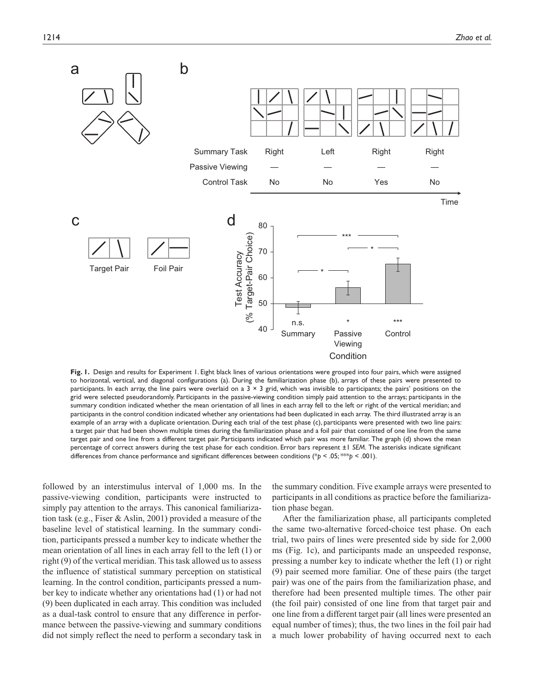

**Fig. 1.** Design and results for Experiment 1. Eight black lines of various orientations were grouped into four pairs, which were assigned to horizontal, vertical, and diagonal configurations (a). During the familiarization phase (b), arrays of these pairs were presented to participants. In each array, the line pairs were overlaid on a  $3 \times 3$  grid, which was invisible to participants; the pairs' positions on the grid were selected pseudorandomly. Participants in the passive-viewing condition simply paid attention to the arrays; participants in the summary condition indicated whether the mean orientation of all lines in each array fell to the left or right of the vertical meridian; and participants in the control condition indicated whether any orientations had been duplicated in each array. The third illustrated array is an example of an array with a duplicate orientation. During each trial of the test phase (c), participants were presented with two line pairs: a target pair that had been shown multiple times during the familiarization phase and a foil pair that consisted of one line from the same target pair and one line from a different target pair. Participants indicated which pair was more familiar. The graph (d) shows the mean percentage of correct answers during the test phase for each condition. Error bars represent ±1 *SEM*. The asterisks indicate significant differences from chance performance and significant differences between conditions (\*p < .05; \*\*\*p < .001).

followed by an interstimulus interval of 1,000 ms. In the passive-viewing condition, participants were instructed to simply pay attention to the arrays. This canonical familiarization task (e.g., Fiser & Aslin, 2001) provided a measure of the baseline level of statistical learning. In the summary condition, participants pressed a number key to indicate whether the mean orientation of all lines in each array fell to the left (1) or right (9) of the vertical meridian. This task allowed us to assess the influence of statistical summary perception on statistical learning. In the control condition, participants pressed a number key to indicate whether any orientations had (1) or had not (9) been duplicated in each array. This condition was included as a dual-task control to ensure that any difference in performance between the passive-viewing and summary conditions did not simply reflect the need to perform a secondary task in

the summary condition. Five example arrays were presented to participants in all conditions as practice before the familiarization phase began.

After the familiarization phase, all participants completed the same two-alternative forced-choice test phase. On each trial, two pairs of lines were presented side by side for 2,000 ms (Fig. 1c), and participants made an unspeeded response, pressing a number key to indicate whether the left (1) or right (9) pair seemed more familiar. One of these pairs (the target pair) was one of the pairs from the familiarization phase, and therefore had been presented multiple times. The other pair (the foil pair) consisted of one line from that target pair and one line from a different target pair (all lines were presented an equal number of times); thus, the two lines in the foil pair had a much lower probability of having occurred next to each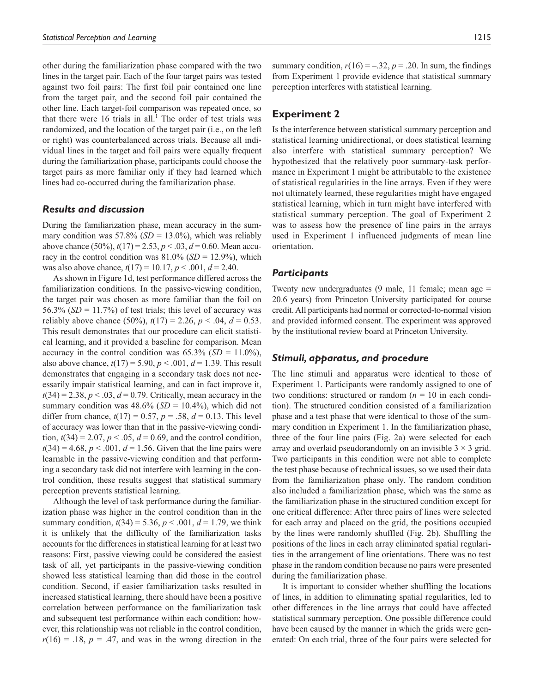other during the familiarization phase compared with the two lines in the target pair. Each of the four target pairs was tested against two foil pairs: The first foil pair contained one line from the target pair, and the second foil pair contained the other line. Each target-foil comparison was repeated once, so that there were  $16$  trials in all.<sup>1</sup> The order of test trials was randomized, and the location of the target pair (i.e., on the left or right) was counterbalanced across trials. Because all individual lines in the target and foil pairs were equally frequent during the familiarization phase, participants could choose the target pairs as more familiar only if they had learned which lines had co-occurred during the familiarization phase.

#### *Results and discussion*

During the familiarization phase, mean accuracy in the summary condition was  $57.8\%$  (*SD* = 13.0%), which was reliably above chance (50%), *t*(17) = 2.53, *p* < .03, *d* = 0.60. Mean accuracy in the control condition was  $81.0\%$  (*SD* = 12.9%), which was also above chance,  $t(17) = 10.17$ ,  $p < .001$ ,  $d = 2.40$ .

As shown in Figure 1d, test performance differed across the familiarization conditions. In the passive-viewing condition, the target pair was chosen as more familiar than the foil on 56.3% ( $SD = 11.7\%$ ) of test trials; this level of accuracy was reliably above chance (50%),  $t(17) = 2.26$ ,  $p < .04$ ,  $d = 0.53$ . This result demonstrates that our procedure can elicit statistical learning, and it provided a baseline for comparison. Mean accuracy in the control condition was  $65.3\%$  (*SD* = 11.0%), also above chance,  $t(17) = 5.90, p < .001, d = 1.39$ . This result demonstrates that engaging in a secondary task does not necessarily impair statistical learning, and can in fact improve it,  $t(34) = 2.38$ ,  $p < .03$ ,  $d = 0.79$ . Critically, mean accuracy in the summary condition was  $48.6\%$  (*SD* = 10.4%), which did not differ from chance,  $t(17) = 0.57$ ,  $p = .58$ ,  $d = 0.13$ . This level of accuracy was lower than that in the passive-viewing condition,  $t(34) = 2.07$ ,  $p < .05$ ,  $d = 0.69$ , and the control condition,  $t(34) = 4.68, p < .001, d = 1.56$ . Given that the line pairs were learnable in the passive-viewing condition and that performing a secondary task did not interfere with learning in the control condition, these results suggest that statistical summary perception prevents statistical learning.

Although the level of task performance during the familiarization phase was higher in the control condition than in the summary condition,  $t(34) = 5.36, p < .001, d = 1.79$ , we think it is unlikely that the difficulty of the familiarization tasks accounts for the differences in statistical learning for at least two reasons: First, passive viewing could be considered the easiest task of all, yet participants in the passive-viewing condition showed less statistical learning than did those in the control condition. Second, if easier familiarization tasks resulted in increased statistical learning, there should have been a positive correlation between performance on the familiarization task and subsequent test performance within each condition; however, this relationship was not reliable in the control condition,  $r(16) = .18$ ,  $p = .47$ , and was in the wrong direction in the

# **Experiment 2**

Is the interference between statistical summary perception and statistical learning unidirectional, or does statistical learning also interfere with statistical summary perception? We hypothesized that the relatively poor summary-task performance in Experiment 1 might be attributable to the existence of statistical regularities in the line arrays. Even if they were not ultimately learned, these regularities might have engaged statistical learning, which in turn might have interfered with statistical summary perception. The goal of Experiment 2 was to assess how the presence of line pairs in the arrays used in Experiment 1 influenced judgments of mean line orientation.

#### *Participants*

Twenty new undergraduates (9 male, 11 female; mean age = 20.6 years) from Princeton University participated for course credit. All participants had normal or corrected-to-normal vision and provided informed consent. The experiment was approved by the institutional review board at Princeton University.

#### *Stimuli, apparatus, and procedure*

The line stimuli and apparatus were identical to those of Experiment 1. Participants were randomly assigned to one of two conditions: structured or random  $(n = 10$  in each condition). The structured condition consisted of a familiarization phase and a test phase that were identical to those of the summary condition in Experiment 1. In the familiarization phase, three of the four line pairs (Fig. 2a) were selected for each array and overlaid pseudorandomly on an invisible  $3 \times 3$  grid. Two participants in this condition were not able to complete the test phase because of technical issues, so we used their data from the familiarization phase only. The random condition also included a familiarization phase, which was the same as the familiarization phase in the structured condition except for one critical difference: After three pairs of lines were selected for each array and placed on the grid, the positions occupied by the lines were randomly shuffled (Fig. 2b). Shuffling the positions of the lines in each array eliminated spatial regularities in the arrangement of line orientations. There was no test phase in the random condition because no pairs were presented during the familiarization phase.

It is important to consider whether shuffling the locations of lines, in addition to eliminating spatial regularities, led to other differences in the line arrays that could have affected statistical summary perception. One possible difference could have been caused by the manner in which the grids were generated: On each trial, three of the four pairs were selected for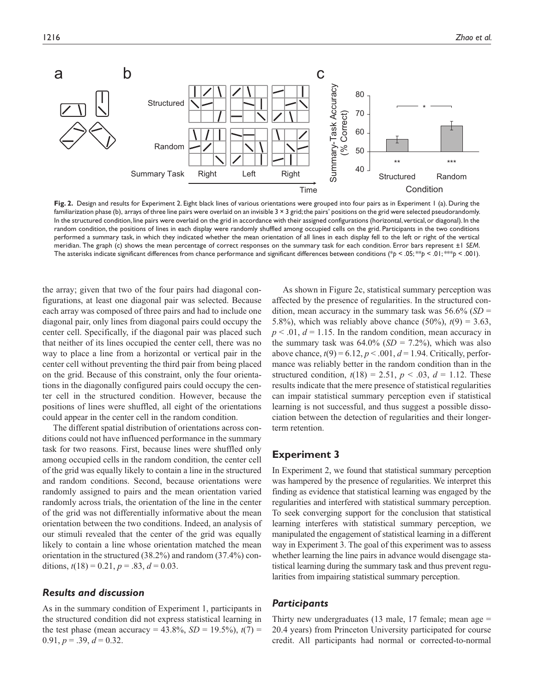

**Fig. 2.** Design and results for Experiment 2. Eight black lines of various orientations were grouped into four pairs as in Experiment 1 (a). During the familiarization phase (b), arrays of three line pairs were overlaid on an invisible  $3 \times 3$  grid; the pairs' positions on the grid were selected pseudorandomly. In the structured condition, line pairs were overlaid on the grid in accordance with their assigned configurations (horizontal, vertical, or diagonal). In the random condition, the positions of lines in each display were randomly shuffled among occupied cells on the grid. Participants in the two conditions performed a summary task, in which they indicated whether the mean orientation of all lines in each display fell to the left or right of the vertical meridian. The graph (c) shows the mean percentage of correct responses on the summary task for each condition. Error bars represent ±1 *SEM*. The asterisks indicate significant differences from chance performance and significant differences between conditions (\**p* < .05; \*\**p* < .01; \*\*\**p* < .001).

the array; given that two of the four pairs had diagonal configurations, at least one diagonal pair was selected. Because each array was composed of three pairs and had to include one diagonal pair, only lines from diagonal pairs could occupy the center cell. Specifically, if the diagonal pair was placed such that neither of its lines occupied the center cell, there was no way to place a line from a horizontal or vertical pair in the center cell without preventing the third pair from being placed on the grid. Because of this constraint, only the four orientations in the diagonally configured pairs could occupy the center cell in the structured condition. However, because the positions of lines were shuffled, all eight of the orientations could appear in the center cell in the random condition.

The different spatial distribution of orientations across conditions could not have influenced performance in the summary task for two reasons. First, because lines were shuffled only among occupied cells in the random condition, the center cell of the grid was equally likely to contain a line in the structured and random conditions. Second, because orientations were randomly assigned to pairs and the mean orientation varied randomly across trials, the orientation of the line in the center of the grid was not differentially informative about the mean orientation between the two conditions. Indeed, an analysis of our stimuli revealed that the center of the grid was equally likely to contain a line whose orientation matched the mean orientation in the structured (38.2%) and random (37.4%) conditions,  $t(18) = 0.21$ ,  $p = .83$ ,  $d = 0.03$ .

#### *Results and discussion*

As in the summary condition of Experiment 1, participants in the structured condition did not express statistical learning in the test phase (mean accuracy =  $43.8\%$ , *SD* =  $19.5\%$ ),  $t(7)$  =  $0.91, p = .39, d = 0.32.$ 

As shown in Figure 2c, statistical summary perception was affected by the presence of regularities. In the structured condition, mean accuracy in the summary task was 56.6% (*SD* = 5.8%), which was reliably above chance  $(50\%)$ ,  $t(9) = 3.63$ ,  $p < .01$ ,  $d = 1.15$ . In the random condition, mean accuracy in the summary task was  $64.0\%$  (*SD* = 7.2%), which was also above chance,  $t(9) = 6.12$ ,  $p < .001$ ,  $d = 1.94$ . Critically, performance was reliably better in the random condition than in the structured condition,  $t(18) = 2.51$ ,  $p < .03$ ,  $d = 1.12$ . These results indicate that the mere presence of statistical regularities can impair statistical summary perception even if statistical learning is not successful, and thus suggest a possible dissociation between the detection of regularities and their longerterm retention.

## **Experiment 3**

In Experiment 2, we found that statistical summary perception was hampered by the presence of regularities. We interpret this finding as evidence that statistical learning was engaged by the regularities and interfered with statistical summary perception. To seek converging support for the conclusion that statistical learning interferes with statistical summary perception, we manipulated the engagement of statistical learning in a different way in Experiment 3. The goal of this experiment was to assess whether learning the line pairs in advance would disengage statistical learning during the summary task and thus prevent regularities from impairing statistical summary perception.

#### *Participants*

Thirty new undergraduates (13 male, 17 female; mean age = 20.4 years) from Princeton University participated for course credit. All participants had normal or corrected-to-normal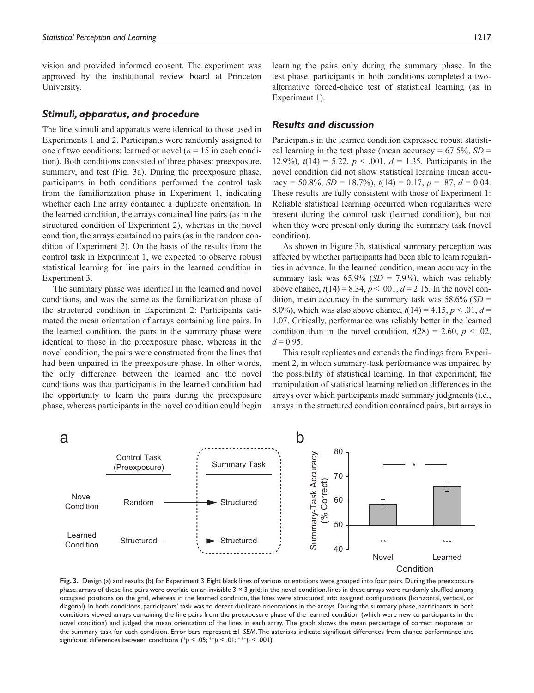vision and provided informed consent. The experiment was approved by the institutional review board at Princeton University.

#### *Stimuli, apparatus, and procedure*

The line stimuli and apparatus were identical to those used in Experiments 1 and 2. Participants were randomly assigned to one of two conditions: learned or novel  $(n = 15$  in each condition). Both conditions consisted of three phases: preexposure, summary, and test (Fig. 3a). During the preexposure phase, participants in both conditions performed the control task from the familiarization phase in Experiment 1, indicating whether each line array contained a duplicate orientation. In the learned condition, the arrays contained line pairs (as in the structured condition of Experiment 2), whereas in the novel condition, the arrays contained no pairs (as in the random condition of Experiment 2). On the basis of the results from the control task in Experiment 1, we expected to observe robust statistical learning for line pairs in the learned condition in Experiment 3.

The summary phase was identical in the learned and novel conditions, and was the same as the familiarization phase of the structured condition in Experiment 2: Participants estimated the mean orientation of arrays containing line pairs. In the learned condition, the pairs in the summary phase were identical to those in the preexposure phase, whereas in the novel condition, the pairs were constructed from the lines that had been unpaired in the preexposure phase. In other words, the only difference between the learned and the novel conditions was that participants in the learned condition had the opportunity to learn the pairs during the preexposure phase, whereas participants in the novel condition could begin

learning the pairs only during the summary phase. In the test phase, participants in both conditions completed a twoalternative forced-choice test of statistical learning (as in Experiment 1).

#### *Results and discussion*

Participants in the learned condition expressed robust statistical learning in the test phase (mean accuracy =  $67.5\%$ , *SD* = 12.9%),  $t(14) = 5.22$ ,  $p < .001$ ,  $d = 1.35$ . Participants in the novel condition did not show statistical learning (mean accuracy = 50.8%, *SD* = 18.7%),  $t(14) = 0.17$ ,  $p = .87$ ,  $d = 0.04$ . These results are fully consistent with those of Experiment 1: Reliable statistical learning occurred when regularities were present during the control task (learned condition), but not when they were present only during the summary task (novel condition).

As shown in Figure 3b, statistical summary perception was affected by whether participants had been able to learn regularities in advance. In the learned condition, mean accuracy in the summary task was  $65.9\%$  (*SD* = 7.9%), which was reliably above chance,  $t(14) = 8.34$ ,  $p < .001$ ,  $d = 2.15$ . In the novel condition, mean accuracy in the summary task was 58.6% (*SD* = 8.0%), which was also above chance,  $t(14) = 4.15$ ,  $p < 0.01$ ,  $d =$ 1.07. Critically, performance was reliably better in the learned condition than in the novel condition,  $t(28) = 2.60$ ,  $p < .02$ ,  $d = 0.95$ .

This result replicates and extends the findings from Experiment 2, in which summary-task performance was impaired by the possibility of statistical learning. In that experiment, the manipulation of statistical learning relied on differences in the arrays over which participants made summary judgments (i.e., arrays in the structured condition contained pairs, but arrays in



**Fig. 3.** Design (a) and results (b) for Experiment 3. Eight black lines of various orientations were grouped into four pairs. During the preexposure phase, arrays of these line pairs were overlaid on an invisible  $3 \times 3$  grid; in the novel condition, lines in these arrays were randomly shuffled among occupied positions on the grid, whereas in the learned condition, the lines were structured into assigned configurations (horizontal, vertical, or diagonal). In both conditions, participants' task was to detect duplicate orientations in the arrays. During the summary phase, participants in both conditions viewed arrays containing the line pairs from the preexposure phase of the learned condition (which were new to participants in the novel condition) and judged the mean orientation of the lines in each array. The graph shows the mean percentage of correct responses on the summary task for each condition. Error bars represent ±1 *SEM*. The asterisks indicate significant differences from chance performance and significant differences between conditions (\**p* < .05; \*\**p* < .01; \*\*\**p* < .001).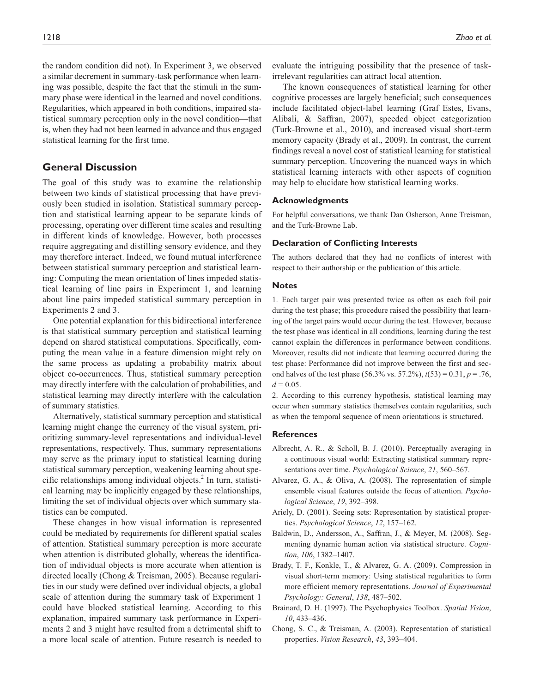the random condition did not). In Experiment 3, we observed a similar decrement in summary-task performance when learning was possible, despite the fact that the stimuli in the summary phase were identical in the learned and novel conditions. Regularities, which appeared in both conditions, impaired statistical summary perception only in the novel condition—that is, when they had not been learned in advance and thus engaged statistical learning for the first time.

## **General Discussion**

The goal of this study was to examine the relationship between two kinds of statistical processing that have previously been studied in isolation. Statistical summary perception and statistical learning appear to be separate kinds of processing, operating over different time scales and resulting in different kinds of knowledge. However, both processes require aggregating and distilling sensory evidence, and they may therefore interact. Indeed, we found mutual interference between statistical summary perception and statistical learning: Computing the mean orientation of lines impeded statistical learning of line pairs in Experiment 1, and learning about line pairs impeded statistical summary perception in Experiments 2 and 3.

One potential explanation for this bidirectional interference is that statistical summary perception and statistical learning depend on shared statistical computations. Specifically, computing the mean value in a feature dimension might rely on the same process as updating a probability matrix about object co-occurrences. Thus, statistical summary perception may directly interfere with the calculation of probabilities, and statistical learning may directly interfere with the calculation of summary statistics.

Alternatively, statistical summary perception and statistical learning might change the currency of the visual system, prioritizing summary-level representations and individual-level representations, respectively. Thus, summary representations may serve as the primary input to statistical learning during statistical summary perception, weakening learning about specific relationships among individual objects.<sup>2</sup> In turn, statistical learning may be implicitly engaged by these relationships, limiting the set of individual objects over which summary statistics can be computed.

These changes in how visual information is represented could be mediated by requirements for different spatial scales of attention. Statistical summary perception is more accurate when attention is distributed globally, whereas the identification of individual objects is more accurate when attention is directed locally (Chong & Treisman, 2005). Because regularities in our study were defined over individual objects, a global scale of attention during the summary task of Experiment 1 could have blocked statistical learning. According to this explanation, impaired summary task performance in Experiments 2 and 3 might have resulted from a detrimental shift to a more local scale of attention. Future research is needed to

evaluate the intriguing possibility that the presence of taskirrelevant regularities can attract local attention.

The known consequences of statistical learning for other cognitive processes are largely beneficial; such consequences include facilitated object-label learning (Graf Estes, Evans, Alibali, & Saffran, 2007), speeded object categorization (Turk-Browne et al., 2010), and increased visual short-term memory capacity (Brady et al., 2009). In contrast, the current findings reveal a novel cost of statistical learning for statistical summary perception. Uncovering the nuanced ways in which statistical learning interacts with other aspects of cognition may help to elucidate how statistical learning works.

#### **Acknowledgments**

For helpful conversations, we thank Dan Osherson, Anne Treisman, and the Turk-Browne Lab.

#### **Declaration of Conflicting Interests**

The authors declared that they had no conflicts of interest with respect to their authorship or the publication of this article.

#### **Notes**

1. Each target pair was presented twice as often as each foil pair during the test phase; this procedure raised the possibility that learning of the target pairs would occur during the test. However, because the test phase was identical in all conditions, learning during the test cannot explain the differences in performance between conditions. Moreover, results did not indicate that learning occurred during the test phase: Performance did not improve between the first and second halves of the test phase (56.3% vs. 57.2%), *t*(53) = 0.31, *p* = .76,  $d = 0.05$ .

2. According to this currency hypothesis, statistical learning may occur when summary statistics themselves contain regularities, such as when the temporal sequence of mean orientations is structured.

#### **References**

- Albrecht, A. R., & Scholl, B. J. (2010). Perceptually averaging in a continuous visual world: Extracting statistical summary representations over time. *Psychological Science*, *21*, 560–567.
- Alvarez, G. A., & Oliva, A. (2008). The representation of simple ensemble visual features outside the focus of attention. *Psychological Science*, *19*, 392–398.
- Ariely, D. (2001). Seeing sets: Representation by statistical properties. *Psychological Science*, *12*, 157–162.
- Baldwin, D., Andersson, A., Saffran, J., & Meyer, M. (2008). Segmenting dynamic human action via statistical structure. *Cognition*, *106*, 1382–1407.
- Brady, T. F., Konkle, T., & Alvarez, G. A. (2009). Compression in visual short-term memory: Using statistical regularities to form more efficient memory representations. *Journal of Experimental Psychology: General*, *138*, 487–502.
- Brainard, D. H. (1997). The Psychophysics Toolbox. *Spatial Vision*, *10*, 433–436.
- Chong, S. C., & Treisman, A. (2003). Representation of statistical properties. *Vision Research*, *43*, 393–404.